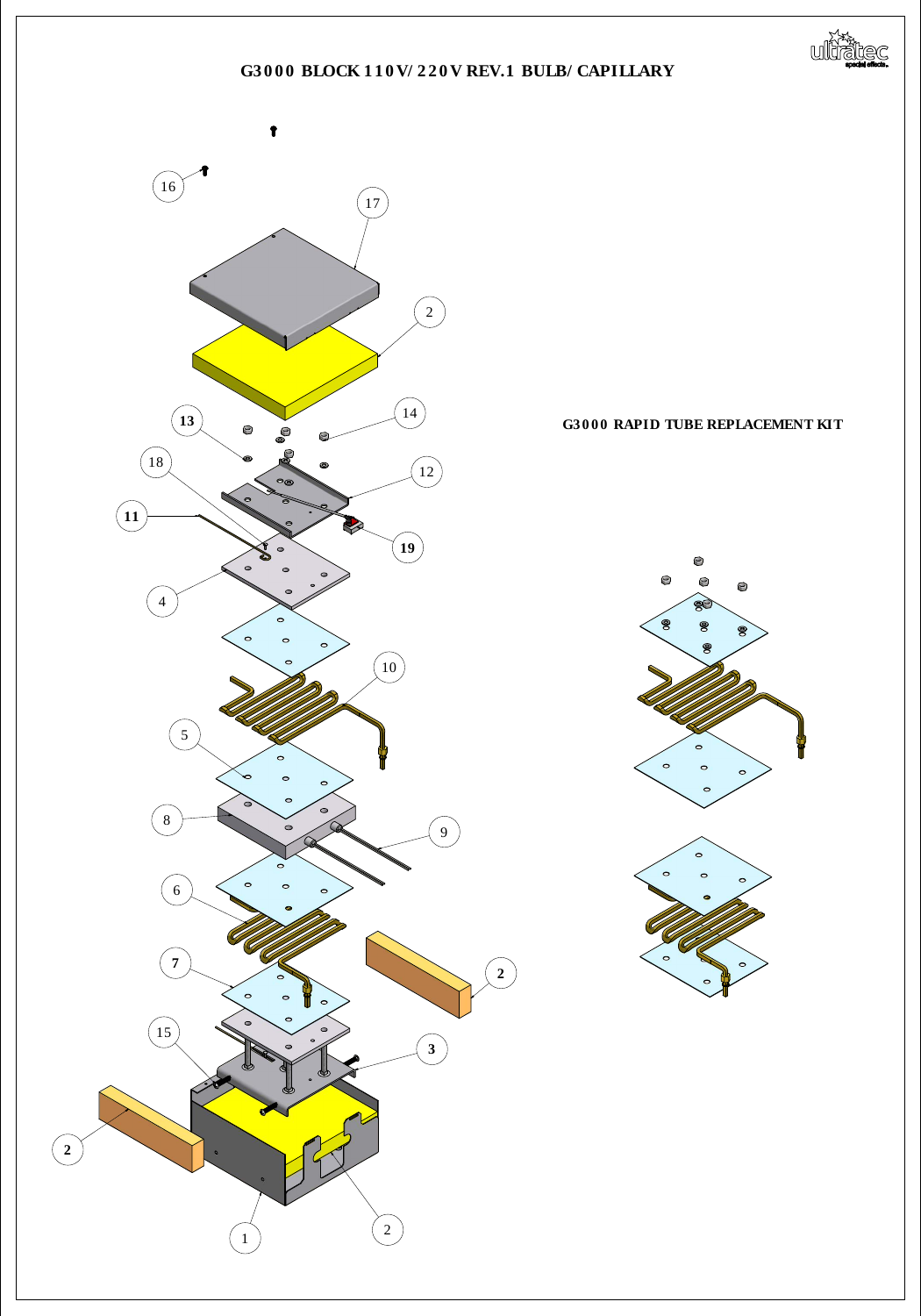



## **G3 0 0 0 RAPID TUBE REPLACEMENT KIT**







## **G3 0 0 0 BLOCK 1 1 0 V/ 2 2 0 V REV.1 BULB/ CAPILLARY**